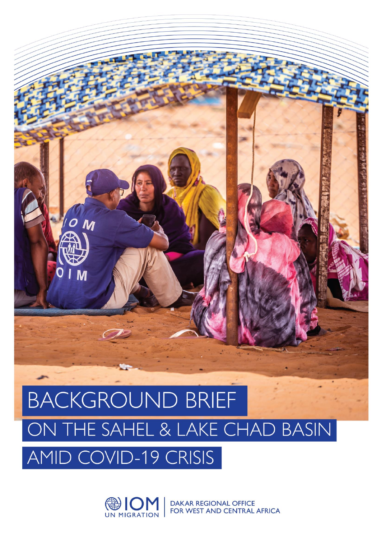

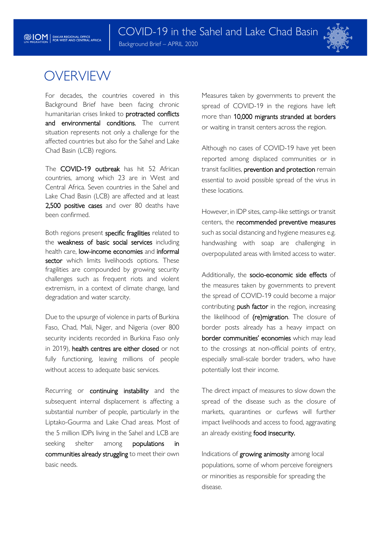

# **OVERVIEW**

For decades, the countries covered in this Background Brief have been facing chronic humanitarian crises linked to protracted conflicts and environmental conditions. The current situation represents not only a challenge for the affected countries but also for the Sahel and Lake Chad Basin (LCB) regions.

The COVID-19 outbreak has hit 52 African countries, among which 23 are in West and Central Africa. Seven countries in the Sahel and Lake Chad Basin (LCB) are affected and at least 2,500 positive cases and over 80 deaths have been confirmed.

Both regions present specific fragilities related to the weakness of basic social services including health care, low-income economies and informal sector which limits livelihoods options. These fragilities are compounded by growing security challenges such as frequent riots and violent extremism, in a context of climate change, land degradation and water scarcity.

Due to the upsurge of violence in parts of Burkina Faso, Chad, Mali, Niger, and Nigeria (over 800 security incidents recorded in Burkina Faso only in 2019), health centres are either closed or not fully functioning, leaving millions of people without access to adequate basic services.

Recurring or continuing instability and the subsequent internal displacement is affecting a substantial number of people, particularly in the Liptako-Gourma and Lake Chad areas. Most of the 5 million IDPs living in the Sahel and LCB are seeking shelter among **populations** in communities already struggling to meet their own basic needs.

Measures taken by governments to prevent the spread of COVID-19 in the regions have left more than 10,000 migrants stranded at borders or waiting in transit centers across the region.

Although no cases of COVID-19 have yet been reported among displaced communities or in transit facilities, prevention and protection remain essential to avoid possible spread of the virus in these locations.

However, in IDP sites, camp-like settings or transit centers, the recommended preventive measures such as social distancing and hygiene measures e.g. handwashing with soap are challenging in overpopulated areas with limited access to water.

Additionally, the socio-economic side effects of the measures taken by governments to prevent the spread of COVID-19 could become a major contributing push factor in the region, increasing the likelihood of (re)migration. The closure of border posts already has a heavy impact on border communities' economies which may lead to the crossings at non-official points of entry, especially small-scale border traders, who have potentially lost their income.

The direct impact of measures to slow down the spread of the disease such as the closure of markets, quarantines or curfews will further impact livelihoods and access to food, aggravating an already existing food insecurity.

Indications of growing animosity among local populations, some of whom perceive foreigners or minorities as responsible for spreading the disease.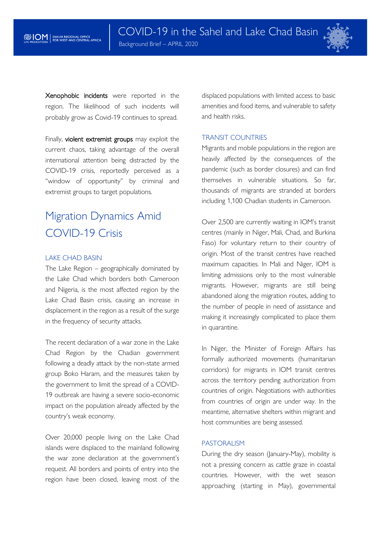

Xenophobic incidents were reported in the region. The likelihood of such incidents will probably grow as Covid-19 continues to spread.

Finally, violent extremist groups may exploit the current chaos, taking advantage of the overall international attention being distracted by the COVID-19 crisis, reportedly perceived as a "window of opportunity" by criminal and extremist groups to target populations.

# Migration Dynamics Amid COVID-19 Crisis

#### LAKE CHAD BASIN

The Lake Region – geographically dominated by the Lake Chad which borders both Cameroon and Nigeria, is the most affected region by the Lake Chad Basin crisis, causing an increase in displacement in the region as a result of the surge in the frequency of security attacks.

The recent declaration of a war zone in the Lake Chad Region by the Chadian government following a deadly attack by the non-state armed group Boko Haram, and the measures taken by the government to limit the spread of a COVID-19 outbreak are having a severe socio-economic impact on the population already affected by the country's weak economy.

Over 20,000 people living on the Lake Chad islands were displaced to the mainland following the war zone declaration at the government's request. All borders and points of entry into the region have been closed, leaving most of the displaced populations with limited access to basic amenities and food items, and vulnerable to safety and health risks.

### TRANSIT COUNTRIES

Migrants and mobile populations in the region are heavily affected by the consequences of the pandemic (such as border closures) and can find themselves in vulnerable situations. So far, thousands of migrants are stranded at borders including 1,100 Chadian students in Cameroon.

Over 2,500 are currently waiting in IOM's transit centres (mainly in Niger, Mali, Chad, and Burkina Faso) for voluntary return to their country of origin. Most of the transit centres have reached maximum capacities. In Mali and Niger, IOM is limiting admissions only to the most vulnerable migrants. However, migrants are still being abandoned along the migration routes, adding to the number of people in need of assistance and making it increasingly complicated to place them in quarantine.

In Niger, the Minister of Foreign Affairs has formally authorized movements (humanitarian corridors) for migrants in IOM transit centres across the territory pending authorization from countries of origin. Negotiations with authorities from countries of origin are under way. In the meantime, alternative shelters within migrant and host communities are being assessed.

#### PASTORALISM

During the dry season (January-May), mobility is not a pressing concern as cattle graze in coastal countries. However, with the wet season approaching (starting in May), governmental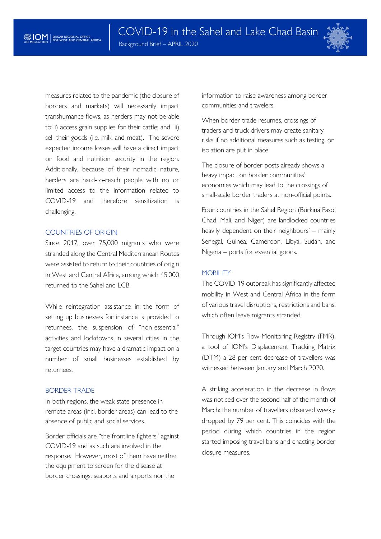

measures related to the pandemic (the closure of borders and markets) will necessarily impact transhumance flows, as herders may not be able to: i) access grain supplies for their cattle; and ii) sell their goods (i.e. milk and meat). The severe expected income losses will have a direct impact on food and nutrition security in the region. Additionally, because of their nomadic nature, herders are hard-to-reach people with no or limited access to the information related to COVID-19 and therefore sensitization is challenging.

### COUNTRIES OF ORIGIN

Since 2017, over 75,000 migrants who were stranded along the Central Mediterranean Routes were assisted to return to their countries of origin in West and Central Africa, among which 45,000 returned to the Sahel and LCB.

While reintegration assistance in the form of setting up businesses for instance is provided to returnees, the suspension of "non-essential" activities and lockdowns in several cities in the target countries may have a dramatic impact on a number of small businesses established by returnees.

# BORDER TRADE

In both regions, the weak state presence in remote areas (incl. border areas) can lead to the absence of public and social services.

Border officials are "the frontline fighters" against COVID-19 and as such are involved in the response. However, most of them have neither the equipment to screen for the disease at border crossings, seaports and airports nor the

information to raise awareness among border communities and travelers.

When border trade resumes, crossings of traders and truck drivers may create sanitary risks if no additional measures such as testing, or isolation are put in place.

The closure of border posts already shows a heavy impact on border communities' economies which may lead to the crossings of small-scale border traders at non-official points.

Four countries in the Sahel Region (Burkina Faso, Chad, Mali, and Niger) are landlocked countries heavily dependent on their neighbours' – mainly Senegal, Guinea, Cameroon, Libya, Sudan, and Nigeria – ports for essential goods.

# **MOBILITY**

The COVID-19 outbreak has significantly affected mobility in West and Central Africa in the form of various travel disruptions, restrictions and bans, which often leave migrants stranded.

Through IOM's Flow Monitoring Registry (FMR), a tool of IOM's Displacement Tracking Matrix (DTM) a 28 per cent decrease of travellers was witnessed between January and March 2020.

A striking acceleration in the decrease in flows was noticed over the second half of the month of March: the number of travellers observed weekly dropped by 79 per cent. This coincides with the period during which countries in the region started imposing travel bans and enacting border closure measures.